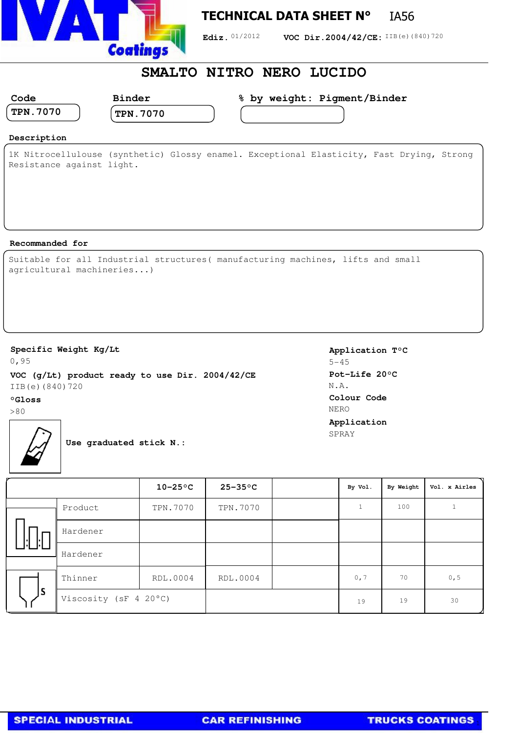

## **TECHNICAL DATA SHEET N°** IA56

Ediz. 01/2012 **VOC Dir.2004/42/CE:** IIB(e)(840)720

## **SMALTO NITRO NERO LUCIDO**

| Code            | Binder          | % by weight: Pigment/Binder |
|-----------------|-----------------|-----------------------------|
| <b>TPN.7070</b> | <b>TPN.7070</b> |                             |
|                 |                 |                             |

#### **Description**

1K Nitrocellulouse (synthetic) Glossy enamel. Exceptional Elasticity, Fast Drying, Strong Resistance against light.

#### **Recommanded for**

|  |                           | Suitable for all Industrial structures (manufacturing machines, lifts and small |  |  |
|--|---------------------------|---------------------------------------------------------------------------------|--|--|
|  | agricultural machineries) |                                                                                 |  |  |

### **Specific Weight Kg/Lt**

0,95 **VOC (g/Lt) product ready to use Dir. 2004/42/CE** IIB(e)(840)720

#### **°Gloss**

>80



**Use graduated stick N.:**

**Application T°C** 5-45 **Pot-Life 20°C** N.A. **Colour Code** NERO **Application** SPRAY

|    |                       | $10-25$ °C | $25 - 35$ °C | By Vol. | By Weight | Vol. x Airles |
|----|-----------------------|------------|--------------|---------|-----------|---------------|
|    | Product               | TPN.7070   | TPN.7070     |         | 100       |               |
|    | Hardener              |            |              |         |           |               |
|    | Hardener              |            |              |         |           |               |
| ١s | Thinner               | RDL.0004   | RDL.0004     | 0, 7    | 70        | 0, 5          |
|    | Viscosity (sF 4 20°C) |            |              | 19      | 19        | 30            |